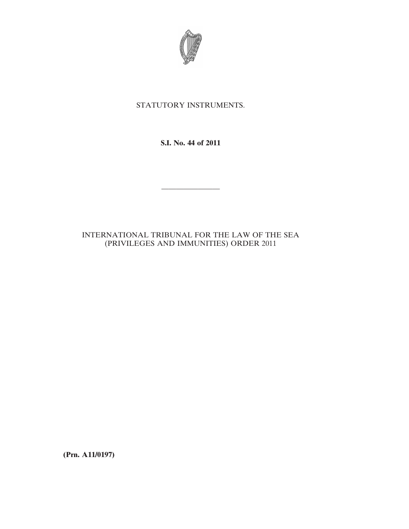

# STATUTORY INSTRUMENTS.

**S.I. No. 44 of 2011**

————————

# INTERNATIONAL TRIBUNAL FOR THE LAW OF THE SEA (PRIVILEGES AND IMMUNITIES) ORDER 2011

**(Prn. A11/0197)**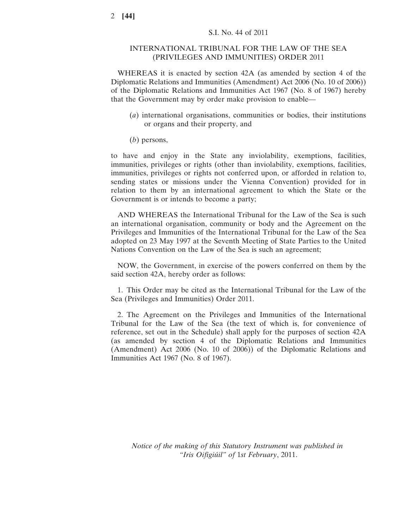# INTERNATIONAL TRIBUNAL FOR THE LAW OF THE SEA (PRIVILEGES AND IMMUNITIES) ORDER 2011

WHEREAS it is enacted by section 42A (as amended by section 4 of the Diplomatic Relations and Immunities (Amendment) Act 2006 (No. 10 of 2006)) of the Diplomatic Relations and Immunities Act 1967 (No. 8 of 1967) hereby that the Government may by order make provision to enable—

- (*a*) international organisations, communities or bodies, their institutions or organs and their property, and
- (*b*) persons,

to have and enjoy in the State any inviolability, exemptions, facilities, immunities, privileges or rights (other than inviolability, exemptions, facilities, immunities, privileges or rights not conferred upon, or afforded in relation to, sending states or missions under the Vienna Convention) provided for in relation to them by an international agreement to which the State or the Government is or intends to become a party;

AND WHEREAS the International Tribunal for the Law of the Sea is such an international organisation, community or body and the Agreement on the Privileges and Immunities of the International Tribunal for the Law of the Sea adopted on 23 May 1997 at the Seventh Meeting of State Parties to the United Nations Convention on the Law of the Sea is such an agreement;

NOW, the Government, in exercise of the powers conferred on them by the said section 42A, hereby order as follows:

1. This Order may be cited as the International Tribunal for the Law of the Sea (Privileges and Immunities) Order 2011.

2. The Agreement on the Privileges and Immunities of the International Tribunal for the Law of the Sea (the text of which is, for convenience of reference, set out in the Schedule) shall apply for the purposes of section 42A (as amended by section 4 of the Diplomatic Relations and Immunities (Amendment) Act 2006 (No. 10 of 2006)) of the Diplomatic Relations and Immunities Act 1967 (No. 8 of 1967).

*Notice of the making of this Statutory Instrument was published in "Iris Oifigiúil" of* 1*st February*, 2011.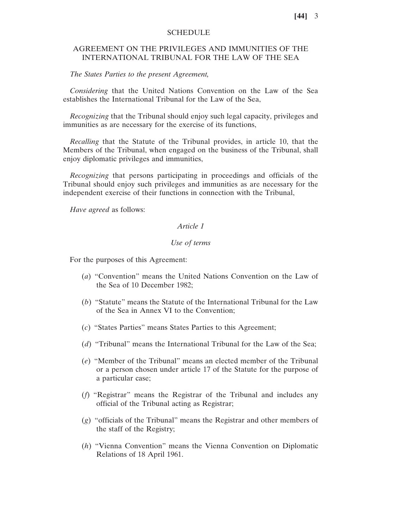### SCHEDULE

# AGREEMENT ON THE PRIVILEGES AND IMMUNITIES OF THE INTERNATIONAL TRIBUNAL FOR THE LAW OF THE SEA

### *The States Parties to the present Agreement,*

*Considering* that the United Nations Convention on the Law of the Sea establishes the International Tribunal for the Law of the Sea,

*Recognizing* that the Tribunal should enjoy such legal capacity, privileges and immunities as are necessary for the exercise of its functions,

*Recalling* that the Statute of the Tribunal provides, in article 10, that the Members of the Tribunal, when engaged on the business of the Tribunal, shall enjoy diplomatic privileges and immunities,

*Recognizing* that persons participating in proceedings and officials of the Tribunal should enjoy such privileges and immunities as are necessary for the independent exercise of their functions in connection with the Tribunal,

*Have agreed* as follows:

### *Article 1*

#### *Use of terms*

For the purposes of this Agreement:

- (*a*) "Convention" means the United Nations Convention on the Law of the Sea of 10 December 1982;
- (*b*) "Statute" means the Statute of the International Tribunal for the Law of the Sea in Annex VI to the Convention;
- (*c*) "States Parties" means States Parties to this Agreement;
- (*d*) "Tribunal" means the International Tribunal for the Law of the Sea;
- (*e*) "Member of the Tribunal" means an elected member of the Tribunal or a person chosen under article 17 of the Statute for the purpose of a particular case;
- (*f*) "Registrar" means the Registrar of the Tribunal and includes any official of the Tribunal acting as Registrar;
- (*g*) "officials of the Tribunal" means the Registrar and other members of the staff of the Registry;
- (*h*) "Vienna Convention" means the Vienna Convention on Diplomatic Relations of 18 April 1961.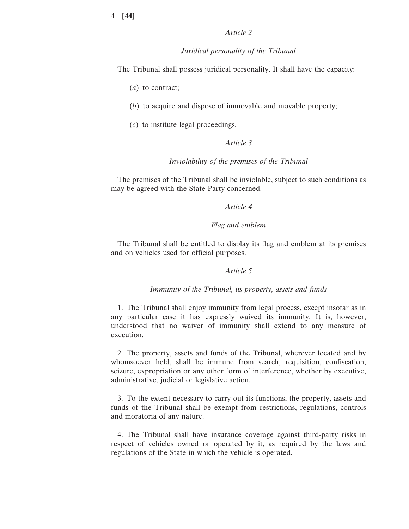### *Article 2*

### *Juridical personality of the Tribunal*

The Tribunal shall possess juridical personality. It shall have the capacity:

(*a*) to contract;

- (*b*) to acquire and dispose of immovable and movable property;
- (*c*) to institute legal proceedings.

# *Article 3*

## *Inviolability of the premises of the Tribunal*

The premises of the Tribunal shall be inviolable, subject to such conditions as may be agreed with the State Party concerned.

### *Article 4*

### *Flag and emblem*

The Tribunal shall be entitled to display its flag and emblem at its premises and on vehicles used for official purposes.

#### *Article 5*

#### *Immunity of the Tribunal, its property, assets and funds*

1. The Tribunal shall enjoy immunity from legal process, except insofar as in any particular case it has expressly waived its immunity. It is, however, understood that no waiver of immunity shall extend to any measure of execution.

2. The property, assets and funds of the Tribunal, wherever located and by whomsoever held, shall be immune from search, requisition, confiscation, seizure, expropriation or any other form of interference, whether by executive, administrative, judicial or legislative action.

3. To the extent necessary to carry out its functions, the property, assets and funds of the Tribunal shall be exempt from restrictions, regulations, controls and moratoria of any nature.

4. The Tribunal shall have insurance coverage against third-party risks in respect of vehicles owned or operated by it, as required by the laws and regulations of the State in which the vehicle is operated.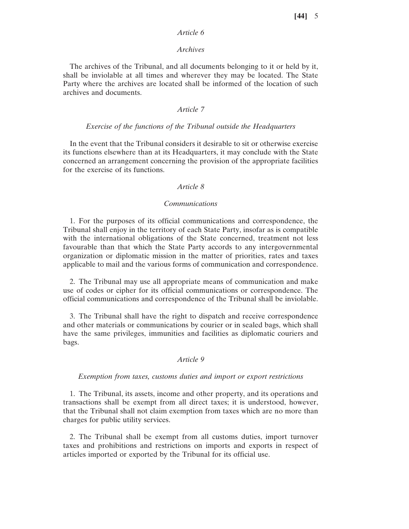# *Article 6*

#### *Archives*

The archives of the Tribunal, and all documents belonging to it or held by it, shall be inviolable at all times and wherever they may be located. The State Party where the archives are located shall be informed of the location of such archives and documents.

### *Article 7*

# *Exercise of the functions of the Tribunal outside the Headquarters*

In the event that the Tribunal considers it desirable to sit or otherwise exercise its functions elsewhere than at its Headquarters, it may conclude with the State concerned an arrangement concerning the provision of the appropriate facilities for the exercise of its functions.

### *Article 8*

### *Communications*

1. For the purposes of its official communications and correspondence, the Tribunal shall enjoy in the territory of each State Party, insofar as is compatible with the international obligations of the State concerned, treatment not less favourable than that which the State Party accords to any intergovernmental organization or diplomatic mission in the matter of priorities, rates and taxes applicable to mail and the various forms of communication and correspondence.

2. The Tribunal may use all appropriate means of communication and make use of codes or cipher for its official communications or correspondence. The official communications and correspondence of the Tribunal shall be inviolable.

3. The Tribunal shall have the right to dispatch and receive correspondence and other materials or communications by courier or in sealed bags, which shall have the same privileges, immunities and facilities as diplomatic couriers and bags.

### *Article 9*

#### *Exemption from taxes, customs duties and import or export restrictions*

1. The Tribunal, its assets, income and other property, and its operations and transactions shall be exempt from all direct taxes; it is understood, however, that the Tribunal shall not claim exemption from taxes which are no more than charges for public utility services.

2. The Tribunal shall be exempt from all customs duties, import turnover taxes and prohibitions and restrictions on imports and exports in respect of articles imported or exported by the Tribunal for its official use.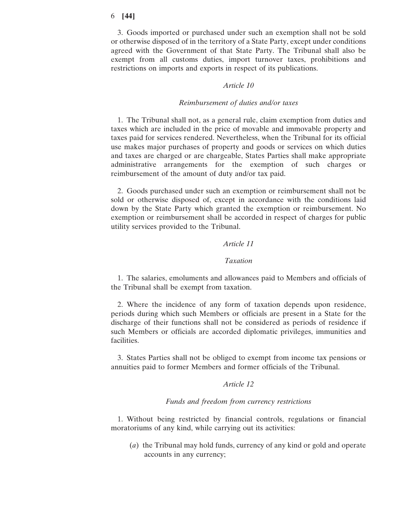3. Goods imported or purchased under such an exemption shall not be sold or otherwise disposed of in the territory of a State Party, except under conditions agreed with the Government of that State Party. The Tribunal shall also be exempt from all customs duties, import turnover taxes, prohibitions and restrictions on imports and exports in respect of its publications.

#### *Article 10*

### *Reimbursement of duties and/or taxes*

1. The Tribunal shall not, as a general rule, claim exemption from duties and taxes which are included in the price of movable and immovable property and taxes paid for services rendered. Nevertheless, when the Tribunal for its official use makes major purchases of property and goods or services on which duties and taxes are charged or are chargeable, States Parties shall make appropriate administrative arrangements for the exemption of such charges or reimbursement of the amount of duty and/or tax paid.

2. Goods purchased under such an exemption or reimbursement shall not be sold or otherwise disposed of, except in accordance with the conditions laid down by the State Party which granted the exemption or reimbursement. No exemption or reimbursement shall be accorded in respect of charges for public utility services provided to the Tribunal.

### *Article 11*

### *Taxation*

1. The salaries, emoluments and allowances paid to Members and officials of the Tribunal shall be exempt from taxation.

2. Where the incidence of any form of taxation depends upon residence, periods during which such Members or officials are present in a State for the discharge of their functions shall not be considered as periods of residence if such Members or officials are accorded diplomatic privileges, immunities and facilities.

3. States Parties shall not be obliged to exempt from income tax pensions or annuities paid to former Members and former officials of the Tribunal.

#### *Article 12*

### *Funds and freedom from currency restrictions*

1. Without being restricted by financial controls, regulations or financial moratoriums of any kind, while carrying out its activities:

(*a*) the Tribunal may hold funds, currency of any kind or gold and operate accounts in any currency;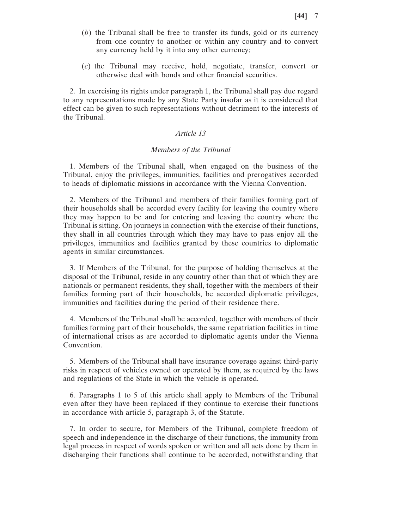- (*b*) the Tribunal shall be free to transfer its funds, gold or its currency from one country to another or within any country and to convert any currency held by it into any other currency;
- (*c*) the Tribunal may receive, hold, negotiate, transfer, convert or otherwise deal with bonds and other financial securities.

2. In exercising its rights under paragraph 1, the Tribunal shall pay due regard to any representations made by any State Party insofar as it is considered that effect can be given to such representations without detriment to the interests of the Tribunal.

### *Article 13*

#### *Members of the Tribunal*

1. Members of the Tribunal shall, when engaged on the business of the Tribunal, enjoy the privileges, immunities, facilities and prerogatives accorded to heads of diplomatic missions in accordance with the Vienna Convention.

2. Members of the Tribunal and members of their families forming part of their households shall be accorded every facility for leaving the country where they may happen to be and for entering and leaving the country where the Tribunal is sitting. On journeys in connection with the exercise of their functions, they shall in all countries through which they may have to pass enjoy all the privileges, immunities and facilities granted by these countries to diplomatic agents in similar circumstances.

3. If Members of the Tribunal, for the purpose of holding themselves at the disposal of the Tribunal, reside in any country other than that of which they are nationals or permanent residents, they shall, together with the members of their families forming part of their households, be accorded diplomatic privileges, immunities and facilities during the period of their residence there.

4. Members of the Tribunal shall be accorded, together with members of their families forming part of their households, the same repatriation facilities in time of international crises as are accorded to diplomatic agents under the Vienna Convention.

5. Members of the Tribunal shall have insurance coverage against third-party risks in respect of vehicles owned or operated by them, as required by the laws and regulations of the State in which the vehicle is operated.

6. Paragraphs 1 to 5 of this article shall apply to Members of the Tribunal even after they have been replaced if they continue to exercise their functions in accordance with article 5, paragraph 3, of the Statute.

7. In order to secure, for Members of the Tribunal, complete freedom of speech and independence in the discharge of their functions, the immunity from legal process in respect of words spoken or written and all acts done by them in discharging their functions shall continue to be accorded, notwithstanding that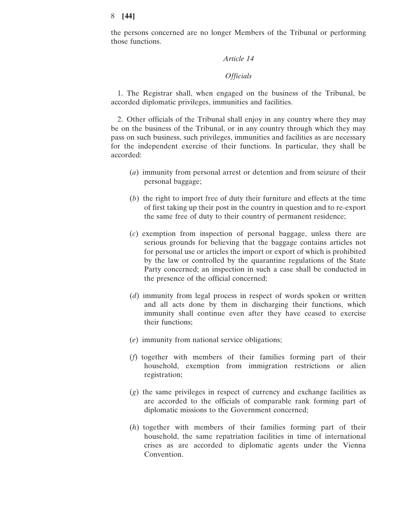the persons concerned are no longer Members of the Tribunal or performing those functions.

*Article 14*

# *Officials*

1. The Registrar shall, when engaged on the business of the Tribunal, be accorded diplomatic privileges, immunities and facilities.

2. Other officials of the Tribunal shall enjoy in any country where they may be on the business of the Tribunal, or in any country through which they may pass on such business, such privileges, immunities and facilities as are necessary for the independent exercise of their functions. In particular, they shall be accorded:

- (*a*) immunity from personal arrest or detention and from seizure of their personal baggage;
- (*b*) the right to import free of duty their furniture and effects at the time of first taking up their post in the country in question and to re-export the same free of duty to their country of permanent residence;
- (*c*) exemption from inspection of personal baggage, unless there are serious grounds for believing that the baggage contains articles not for personal use or articles the import or export of which is prohibited by the law or controlled by the quarantine regulations of the State Party concerned; an inspection in such a case shall be conducted in the presence of the official concerned;
- (*d*) immunity from legal process in respect of words spoken or written and all acts done by them in discharging their functions, which immunity shall continue even after they have ceased to exercise their functions;
- (*e*) immunity from national service obligations;
- (*f*) together with members of their families forming part of their household, exemption from immigration restrictions or alien registration;
- (*g*) the same privileges in respect of currency and exchange facilities as are accorded to the officials of comparable rank forming part of diplomatic missions to the Government concerned;
- (*h*) together with members of their families forming part of their household, the same repatriation facilities in time of international crises as are accorded to diplomatic agents under the Vienna Convention.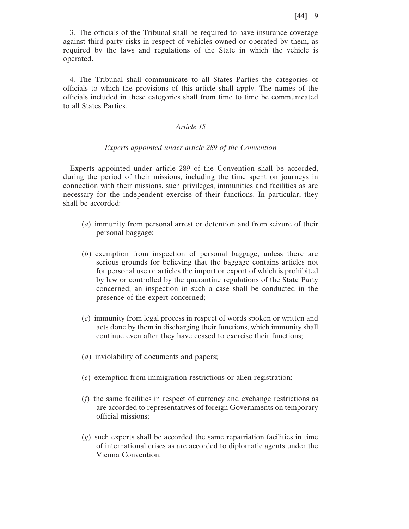3. The officials of the Tribunal shall be required to have insurance coverage against third-party risks in respect of vehicles owned or operated by them, as required by the laws and regulations of the State in which the vehicle is operated.

4. The Tribunal shall communicate to all States Parties the categories of officials to which the provisions of this article shall apply. The names of the officials included in these categories shall from time to time be communicated to all States Parties.

### *Article 15*

### *Experts appointed under article 289 of the Convention*

Experts appointed under article 289 of the Convention shall be accorded, during the period of their missions, including the time spent on journeys in connection with their missions, such privileges, immunities and facilities as are necessary for the independent exercise of their functions. In particular, they shall be accorded:

- (*a*) immunity from personal arrest or detention and from seizure of their personal baggage;
- (*b*) exemption from inspection of personal baggage, unless there are serious grounds for believing that the baggage contains articles not for personal use or articles the import or export of which is prohibited by law or controlled by the quarantine regulations of the State Party concerned; an inspection in such a case shall be conducted in the presence of the expert concerned;
- (*c*) immunity from legal process in respect of words spoken or written and acts done by them in discharging their functions, which immunity shall continue even after they have ceased to exercise their functions;
- (*d*) inviolability of documents and papers;
- (*e*) exemption from immigration restrictions or alien registration;
- (*f*) the same facilities in respect of currency and exchange restrictions as are accorded to representatives of foreign Governments on temporary official missions;
- (*g*) such experts shall be accorded the same repatriation facilities in time of international crises as are accorded to diplomatic agents under the Vienna Convention.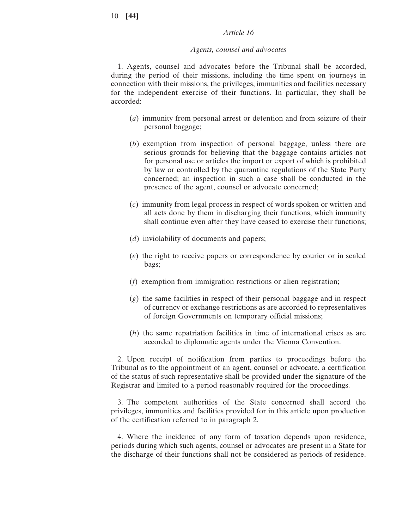## *Article 16*

#### *Agents, counsel and advocates*

1. Agents, counsel and advocates before the Tribunal shall be accorded, during the period of their missions, including the time spent on journeys in connection with their missions, the privileges, immunities and facilities necessary for the independent exercise of their functions. In particular, they shall be accorded:

- (*a*) immunity from personal arrest or detention and from seizure of their personal baggage;
- (*b*) exemption from inspection of personal baggage, unless there are serious grounds for believing that the baggage contains articles not for personal use or articles the import or export of which is prohibited by law or controlled by the quarantine regulations of the State Party concerned; an inspection in such a case shall be conducted in the presence of the agent, counsel or advocate concerned;
- (*c*) immunity from legal process in respect of words spoken or written and all acts done by them in discharging their functions, which immunity shall continue even after they have ceased to exercise their functions;
- (*d*) inviolability of documents and papers;
- (*e*) the right to receive papers or correspondence by courier or in sealed bags;
- (*f*) exemption from immigration restrictions or alien registration;
- (*g*) the same facilities in respect of their personal baggage and in respect of currency or exchange restrictions as are accorded to representatives of foreign Governments on temporary official missions;
- (*h*) the same repatriation facilities in time of international crises as are accorded to diplomatic agents under the Vienna Convention.

2. Upon receipt of notification from parties to proceedings before the Tribunal as to the appointment of an agent, counsel or advocate, a certification of the status of such representative shall be provided under the signature of the Registrar and limited to a period reasonably required for the proceedings.

3. The competent authorities of the State concerned shall accord the privileges, immunities and facilities provided for in this article upon production of the certification referred to in paragraph 2.

4. Where the incidence of any form of taxation depends upon residence, periods during which such agents, counsel or advocates are present in a State for the discharge of their functions shall not be considered as periods of residence.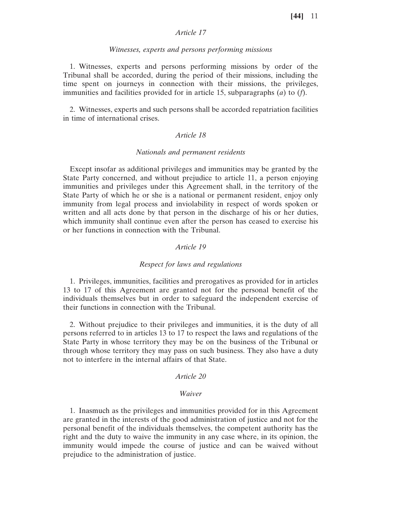### *Article 17*

#### *Witnesses, experts and persons performing missions*

1. Witnesses, experts and persons performing missions by order of the Tribunal shall be accorded, during the period of their missions, including the time spent on journeys in connection with their missions, the privileges, immunities and facilities provided for in article 15, subparagraphs (*a*) to (*f*).

2. Witnesses, experts and such persons shall be accorded repatriation facilities in time of international crises.

### *Article 18*

#### *Nationals and permanent residents*

Except insofar as additional privileges and immunities may be granted by the State Party concerned, and without prejudice to article 11, a person enjoying immunities and privileges under this Agreement shall, in the territory of the State Party of which he or she is a national or permanent resident, enjoy only immunity from legal process and inviolability in respect of words spoken or written and all acts done by that person in the discharge of his or her duties, which immunity shall continue even after the person has ceased to exercise his or her functions in connection with the Tribunal.

## *Article 19*

#### *Respect for laws and regulations*

1. Privileges, immunities, facilities and prerogatives as provided for in articles 13 to 17 of this Agreement are granted not for the personal benefit of the individuals themselves but in order to safeguard the independent exercise of their functions in connection with the Tribunal.

2. Without prejudice to their privileges and immunities, it is the duty of all persons referred to in articles 13 to 17 to respect the laws and regulations of the State Party in whose territory they may be on the business of the Tribunal or through whose territory they may pass on such business. They also have a duty not to interfere in the internal affairs of that State.

#### *Article 20*

### *Waiver*

1. Inasmuch as the privileges and immunities provided for in this Agreement are granted in the interests of the good administration of justice and not for the personal benefit of the individuals themselves, the competent authority has the right and the duty to waive the immunity in any case where, in its opinion, the immunity would impede the course of justice and can be waived without prejudice to the administration of justice.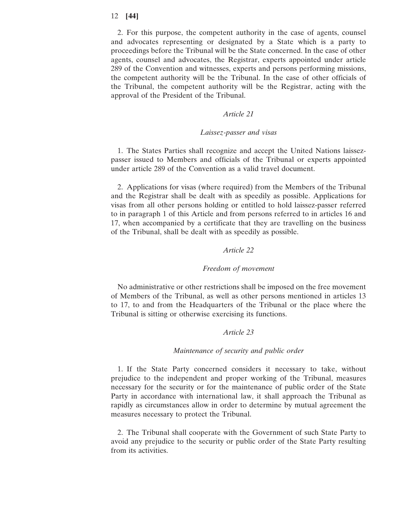2. For this purpose, the competent authority in the case of agents, counsel and advocates representing or designated by a State which is a party to proceedings before the Tribunal will be the State concerned. In the case of other agents, counsel and advocates, the Registrar, experts appointed under article 289 of the Convention and witnesses, experts and persons performing missions, the competent authority will be the Tribunal. In the case of other officials of the Tribunal, the competent authority will be the Registrar, acting with the approval of the President of the Tribunal.

### *Article 21*

### *Laissez-passer and visas*

1. The States Parties shall recognize and accept the United Nations laissezpasser issued to Members and officials of the Tribunal or experts appointed under article 289 of the Convention as a valid travel document.

2. Applications for visas (where required) from the Members of the Tribunal and the Registrar shall be dealt with as speedily as possible. Applications for visas from all other persons holding or entitled to hold laissez-passer referred to in paragraph 1 of this Article and from persons referred to in articles 16 and 17, when accompanied by a certificate that they are travelling on the business of the Tribunal, shall be dealt with as speedily as possible.

### *Article 22*

#### *Freedom of movement*

No administrative or other restrictions shall be imposed on the free movement of Members of the Tribunal, as well as other persons mentioned in articles 13 to 17, to and from the Headquarters of the Tribunal or the place where the Tribunal is sitting or otherwise exercising its functions.

### *Article 23*

#### *Maintenance of security and public order*

1. If the State Party concerned considers it necessary to take, without prejudice to the independent and proper working of the Tribunal, measures necessary for the security or for the maintenance of public order of the State Party in accordance with international law, it shall approach the Tribunal as rapidly as circumstances allow in order to determine by mutual agreement the measures necessary to protect the Tribunal.

2. The Tribunal shall cooperate with the Government of such State Party to avoid any prejudice to the security or public order of the State Party resulting from its activities.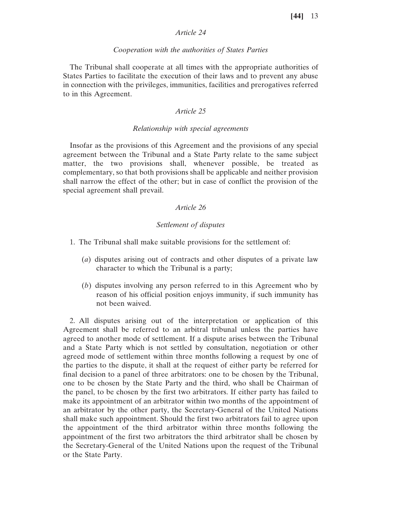### *Article 24*

#### *Cooperation with the authorities of States Parties*

The Tribunal shall cooperate at all times with the appropriate authorities of States Parties to facilitate the execution of their laws and to prevent any abuse in connection with the privileges, immunities, facilities and prerogatives referred to in this Agreement.

### *Article 25*

#### *Relationship with special agreements*

Insofar as the provisions of this Agreement and the provisions of any special agreement between the Tribunal and a State Party relate to the same subject matter, the two provisions shall, whenever possible, be treated as complementary, so that both provisions shall be applicable and neither provision shall narrow the effect of the other; but in case of conflict the provision of the special agreement shall prevail.

### *Article 26*

### *Settlement of disputes*

1. The Tribunal shall make suitable provisions for the settlement of:

- (*a*) disputes arising out of contracts and other disputes of a private law character to which the Tribunal is a party;
- (*b*) disputes involving any person referred to in this Agreement who by reason of his official position enjoys immunity, if such immunity has not been waived.

2. All disputes arising out of the interpretation or application of this Agreement shall be referred to an arbitral tribunal unless the parties have agreed to another mode of settlement. If a dispute arises between the Tribunal and a State Party which is not settled by consultation, negotiation or other agreed mode of settlement within three months following a request by one of the parties to the dispute, it shall at the request of either party be referred for final decision to a panel of three arbitrators: one to be chosen by the Tribunal, one to be chosen by the State Party and the third, who shall be Chairman of the panel, to be chosen by the first two arbitrators. If either party has failed to make its appointment of an arbitrator within two months of the appointment of an arbitrator by the other party, the Secretary-General of the United Nations shall make such appointment. Should the first two arbitrators fail to agree upon the appointment of the third arbitrator within three months following the appointment of the first two arbitrators the third arbitrator shall be chosen by the Secretary-General of the United Nations upon the request of the Tribunal or the State Party.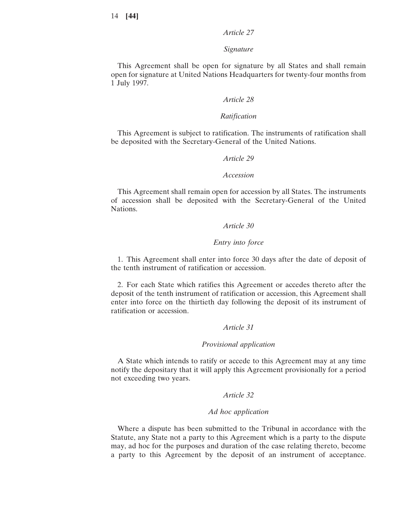### *Article 27*

#### *Signature*

This Agreement shall be open for signature by all States and shall remain open for signature at United Nations Headquarters for twenty-four months from 1 July 1997.

### *Article 28*

#### *Ratification*

This Agreement is subject to ratification. The instruments of ratification shall be deposited with the Secretary-General of the United Nations.

### *Article 29*

### *Accession*

This Agreement shall remain open for accession by all States. The instruments of accession shall be deposited with the Secretary-General of the United Nations.

#### *Article 30*

### *Entry into force*

1. This Agreement shall enter into force 30 days after the date of deposit of the tenth instrument of ratification or accession.

2. For each State which ratifies this Agreement or accedes thereto after the deposit of the tenth instrument of ratification or accession, this Agreement shall enter into force on the thirtieth day following the deposit of its instrument of ratification or accession.

### *Article 31*

#### *Provisional application*

A State which intends to ratify or accede to this Agreement may at any time notify the depositary that it will apply this Agreement provisionally for a period not exceeding two years.

### *Article 32*

### *Ad hoc application*

Where a dispute has been submitted to the Tribunal in accordance with the Statute, any State not a party to this Agreement which is a party to the dispute may, ad hoc for the purposes and duration of the case relating thereto, become a party to this Agreement by the deposit of an instrument of acceptance.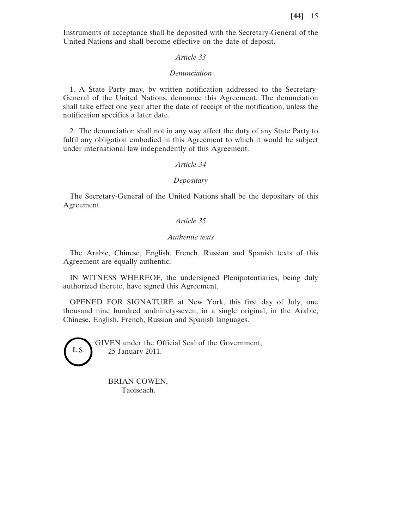Instruments of acceptance shall be deposited with the Secretary-General of the United Nations and shall become effective on the date of deposit.

#### *Article 33*

#### *Denunciation*

1. A State Party may, by written notification addressed to the Secretary-General of the United Nations, denounce this Agreement. The denunciation shall take effect one year after the date of receipt of the notification, unless the notification specifies a later date.

2. The denunciation shall not in any way affect the duty of any State Party to fulfil any obligation embodied in this Agreement to which it would be subject under international law independently of this Agreement.

#### *Article 34*

#### *Depositary*

The Secretary-General of the United Nations shall be the depositary of this Agreement.

### *Article 35*

### *Authentic texts*

The Arabic, Chinese, English, French, Russian and Spanish texts of this Agreement are equally authentic.

IN WITNESS WHEREOF, the undersigned Plenipotentiaries, being duly authorized thereto, have signed this Agreement.

OPENED FOR SIGNATURE at New York, this first day of July, one thousand nine hundred andninety-seven, in a single original, in the Arabic, Chinese, English, French, Russian and Spanish languages.



GIVEN under the Official Seal of the Government, 25 January 2011.

BRIAN COWEN, Taoiseach.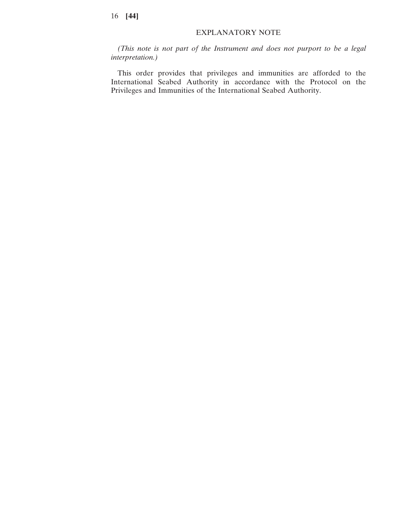### EXPLANATORY NOTE

*(This note is not part of the Instrument and does not purport to be a legal interpretation.)*

This order provides that privileges and immunities are afforded to the International Seabed Authority in accordance with the Protocol on the Privileges and Immunities of the International Seabed Authority.